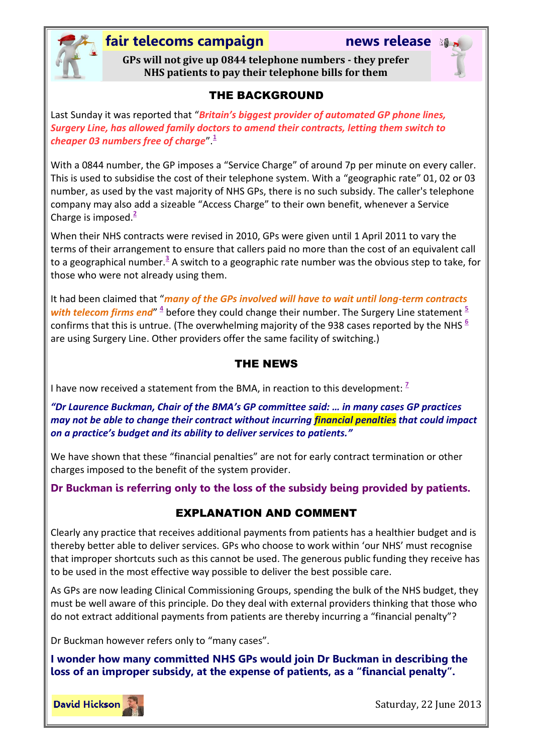

## **fair telecoms campaign news release**

**GPs will not give up 0844 telephone numbers - they prefer NHS patients to pay their telephone bills for them**

#### THE BACKGROUND

Last Sunday it was reported that "*Britain's biggest provider of automated GP phone lines, Surgery Line, has allowed family doctors to amend their contracts, letting them switch to cheaper 03 numbers free of charge*". **[1](#page-1-0)**

With a 0844 number, the GP imposes a "Service Charge" of around 7p per minute on every caller. This is used to subsidise the cost of their telephone system. With a "geographic rate" 01, 02 or 03 number, as used by the vast majority of NHS GPs, there is no such subsidy. The caller's telephone company may also add a sizeable "Access Charge" to their own benefit, whenever a Service Charge is imposed.**[2](#page-1-1)**

When their NHS contracts were revised in 2010, GPs were given until 1 April 2011 to vary the terms of their arrangement to ensure that callers paid no more than the cost of an equivalent call to a geographical number.**[3](#page-1-2)** A switch to a geographic rate number was the obvious step to take, for those who were not already using them.

It had been claimed that "*many of the GPs involved will have to wait until long-term contracts*  with telecom firms end"  $\frac{4}{5}$  $\frac{4}{5}$  $\frac{4}{5}$  $\frac{4}{5}$  $\frac{4}{5}$  before they could change their number. The Surgery Line statement  $\frac{5}{5}$ confirms that this is untrue. (The overwhelming majority of the 938 cases reported by the NHS **[6](#page-1-5)** are using Surgery Line. Other providers offer the same facility of switching.)

#### THE NEWS

I have now received a statement from the BMA, in reaction to this development[:](#page-1-6) <sup>2</sup>

*"Dr Laurence Buckman, Chair of the BMA's GP committee said: … in many cases GP practices may not be able to change their contract without incurring financial penalties that could impact on a practice's budget and its ability to deliver services to patients."*

We have shown that these "financial penalties" are not for early contract termination or other charges imposed to the benefit of the system provider.

**Dr Buckman is referring only to the loss of the subsidy being provided by patients.**

### EXPLANATION AND COMMENT

Clearly any practice that receives additional payments from patients has a healthier budget and is thereby better able to deliver services. GPs who choose to work within 'our NHS' must recognise that improper shortcuts such as this cannot be used. The generous public funding they receive has to be used in the most effective way possible to deliver the best possible care.

As GPs are now leading Clinical Commissioning Groups, spending the bulk of the NHS budget, they must be well aware of this principle. Do they deal with external providers thinking that those who do not extract additional payments from patients are thereby incurring a "financial penalty"?

Dr Buckman however refers only to "many cases".

**I wonder how many committed NHS GPs would join Dr Buckman in describing the loss of an improper subsidy, at the expense of patients, as a "financial penalty".**



Saturday, 22 June 2013